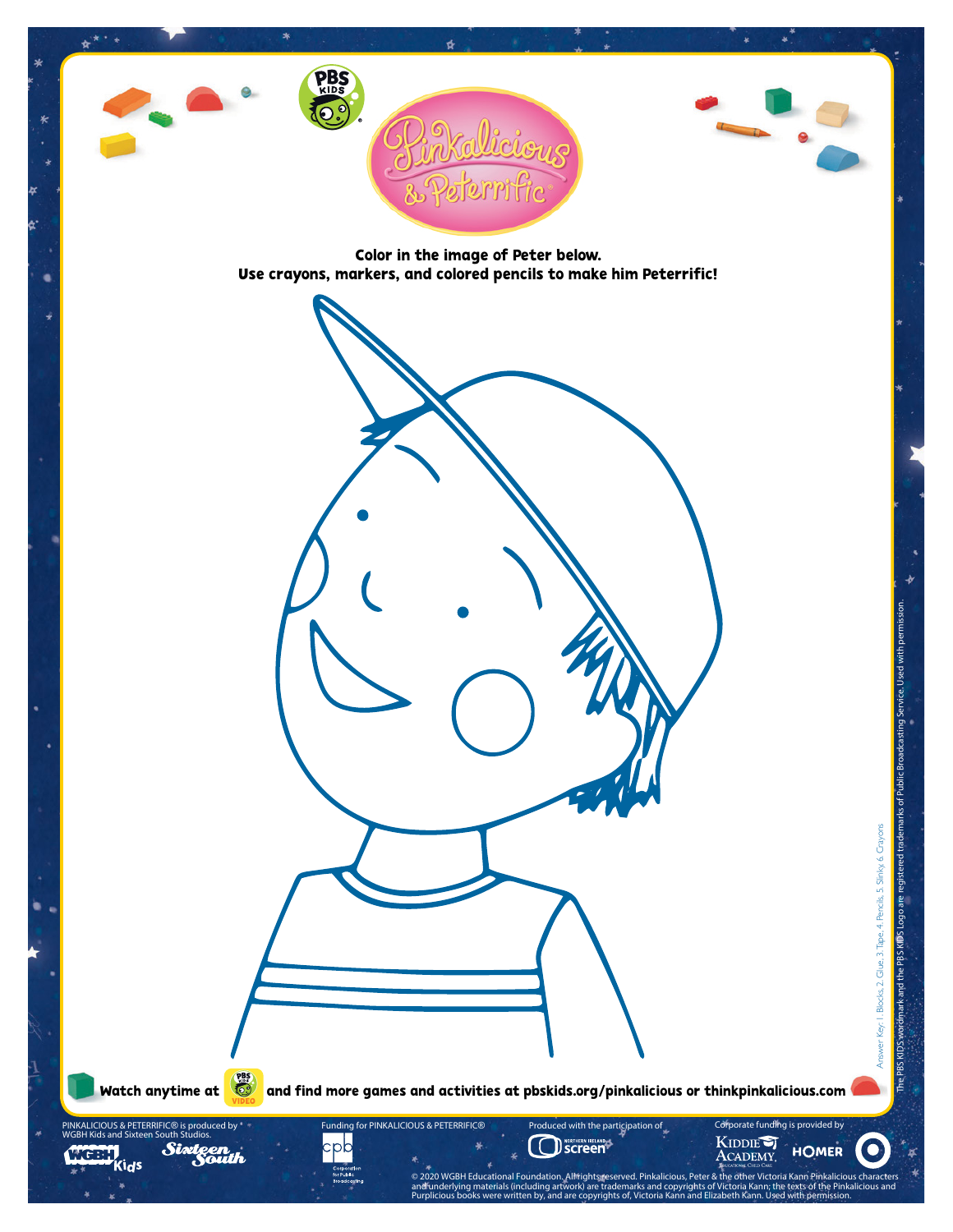

Color in the image of Peter below. Use crayons, markers, and colored pencils to make him Peterrific!

Watch anytime at  $\left(\bigotimes_{i=1}^{\infty}\right)$  and find more games and activities at pbskids.org/pinkalicious or thinkpinkalicious.com

**OSCREEN IRELAND** 

ECONSCRIPTION SCRIPTION CONTROLLER CONTROLLER CONTROLLER CONTROLLER CONTROLLER CONTROLLER CONTROLLER CONTROLLER CONTROLLER CONTROLLER CONTROLLER CONTROLLER CONTROLLER CONTROLLER CONTROLLER CONTROLLER CONTROLLER CONTROLLER and underlying materials (including artwork) are trademarks and copyrights of Victoria Kann; the texts of the Pinkalicious and<br>Purplicious books were written by, and are copyrights of, Victoria Kann and Elizabeth Kann. Use

Produced with the participation of Corporate funding is provided by

Funding for PINKALICIOUS & PETERRIFIC*®*

PINKALICIOUS & PETERRIFIC*®* is produced by WGBH Kids and Sixteen South Studios.

Kids

Sia

J.

Answer Key: 1. Blocks, 2. Glue, 3.Tape, 4. Pencils, 5. Slinky, 6. Crayons

Answer Key, I. Blocks, 2. Glue, 3. Tape, 4. Pencils, 5. Slinky, 6. Crayons

**HOMER** 

The PBS KIDS wordmark and the PBS KIDS Logo are registered trademarks of Public Broadcasting Service. Used with permission.

The PBS KIDS wordmark and the PBS KIDS Logo are registered trademarks of Public Broadcasting Service. Used with permission